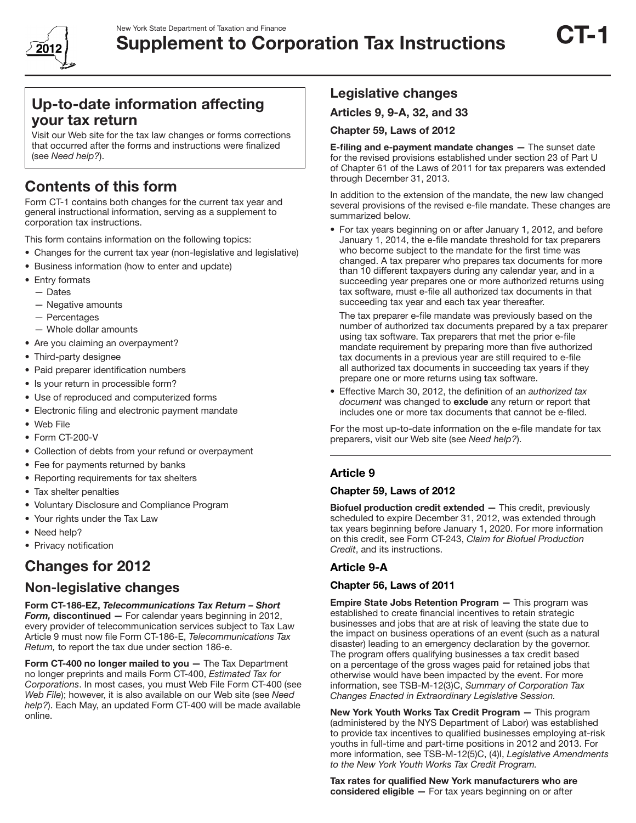

# Up-to-date information affecting your tax return

Visit our Web site for the tax law changes or forms corrections that occurred after the forms and instructions were finalized (see *Need help?*).

# Contents of this form

Form CT-1 contains both changes for the current tax year and general instructional information, serving as a supplement to corporation tax instructions.

- This form contains information on the following topics:
- Changes for the current tax year (non-legislative and legislative)
- Business information (how to enter and update)
- Entry formats
	- Dates
	- Negative amounts
	- Percentages
	- Whole dollar amounts
- Are you claiming an overpayment?
- Third-party designee
- Paid preparer identification numbers
- Is your return in processible form?
- Use of reproduced and computerized forms
- Electronic filing and electronic payment mandate
- • Web File
- Form CT-200-V
- Collection of debts from your refund or overpayment
- Fee for payments returned by banks
- Reporting requirements for tax shelters
- Tax shelter penalties
- • Voluntary Disclosure and Compliance Program
- Your rights under the Tax Law
- Need help?
- Privacy notification

# Changes for 2012

## Non-legislative changes

Form CT-186-EZ, *Telecommunications Tax Return – Short Form,* discontinued — For calendar years beginning in 2012, every provider of telecommunication services subject to Tax Law Article 9 must now file Form CT-186-E, *Telecommunications Tax Return,* to report the tax due under section 186-e.

Form CT-400 no longer mailed to you - The Tax Department no longer preprints and mails Form CT-400, *Estimated Tax for Corporations*. In most cases, you must Web File Form CT-400 (see *Web File*); however, it is also available on our Web site (see *Need help?*). Each May, an updated Form CT-400 will be made available online.

# Legislative changes

Articles 9, 9-A, 32, and 33

#### Chapter 59, Laws of 2012

E-filing and e-payment mandate changes — The sunset date for the revised provisions established under section 23 of Part U of Chapter 61 of the Laws of 2011 for tax preparers was extended through December 31, 2013.

In addition to the extension of the mandate, the new law changed several provisions of the revised e-file mandate. These changes are summarized below.

• For tax years beginning on or after January 1, 2012, and before January 1, 2014, the e-file mandate threshold for tax preparers who become subject to the mandate for the first time was changed. A tax preparer who prepares tax documents for more than 10 different taxpayers during any calendar year, and in a succeeding year prepares one or more authorized returns using tax software, must e-file all authorized tax documents in that succeeding tax year and each tax year thereafter.

 The tax preparer e-file mandate was previously based on the number of authorized tax documents prepared by a tax preparer using tax software. Tax preparers that met the prior e-file mandate requirement by preparing more than five authorized tax documents in a previous year are still required to e-file all authorized tax documents in succeeding tax years if they prepare one or more returns using tax software.

• Effective March 30, 2012, the definition of an *authorized tax document* was changed to exclude any return or report that includes one or more tax documents that cannot be e-filed.

For the most up-to-date information on the e-file mandate for tax preparers, visit our Web site (see *Need help?*).

### Article 9

#### Chapter 59, Laws of 2012

Biofuel production credit extended — This credit, previously scheduled to expire December 31, 2012, was extended through tax years beginning before January 1, 2020. For more information on this credit, see Form CT-243, *Claim for Biofuel Production Credit*, and its instructions.

### Article 9-A

#### Chapter 56, Laws of 2011

Empire State Jobs Retention Program - This program was established to create financial incentives to retain strategic businesses and jobs that are at risk of leaving the state due to the impact on business operations of an event (such as a natural disaster) leading to an emergency declaration by the governor. The program offers qualifying businesses a tax credit based on a percentage of the gross wages paid for retained jobs that otherwise would have been impacted by the event. For more information, see TSB-M-12(3)C, *Summary of Corporation Tax Changes Enacted in Extraordinary Legislative Session.*

New York Youth Works Tax Credit Program — This program (administered by the NYS Department of Labor) was established to provide tax incentives to qualified businesses employing at-risk youths in full-time and part-time positions in 2012 and 2013. For more information, see TSB-M-12(5)C, (4)I, *Legislative Amendments to the New York Youth Works Tax Credit Program.*

Tax rates for qualified New York manufacturers who are considered eligible — For tax years beginning on or after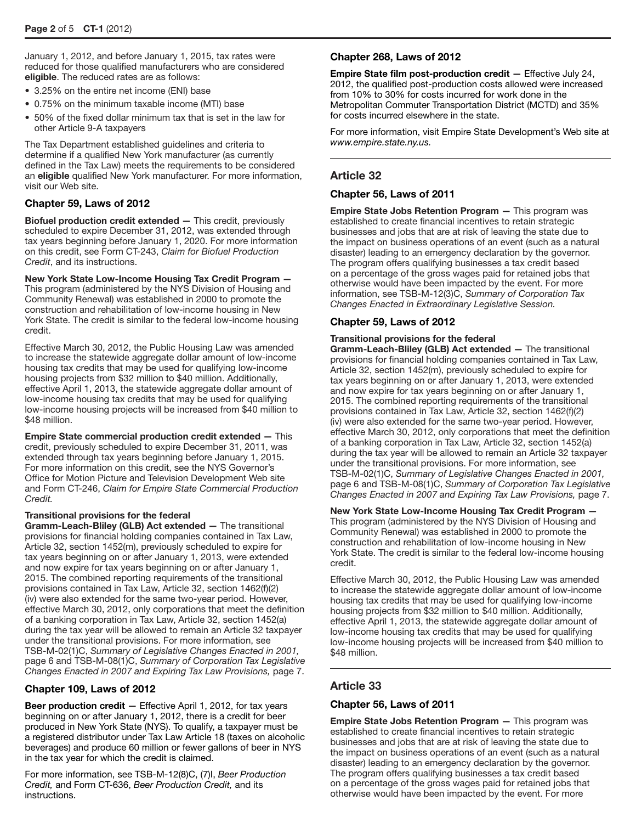January 1, 2012, and before January 1, 2015, tax rates were reduced for those qualified manufacturers who are considered eligible. The reduced rates are as follows:

- 3.25% on the entire net income (ENI) base
- 0.75% on the minimum taxable income (MTI) base
- 50% of the fixed dollar minimum tax that is set in the law for other Article 9-A taxpayers

The Tax Department established guidelines and criteria to determine if a qualified New York manufacturer (as currently defined in the Tax Law) meets the requirements to be considered an eligible qualified New York manufacturer. For more information, visit our Web site.

#### Chapter 59, Laws of 2012

Biofuel production credit extended — This credit, previously scheduled to expire December 31, 2012, was extended through tax years beginning before January 1, 2020. For more information on this credit, see Form CT-243, *Claim for Biofuel Production Credit*, and its instructions.

New York State Low-Income Housing Tax Credit Program — This program (administered by the NYS Division of Housing and Community Renewal) was established in 2000 to promote the construction and rehabilitation of low-income housing in New York State. The credit is similar to the federal low-income housing credit.

Effective March 30, 2012, the Public Housing Law was amended to increase the statewide aggregate dollar amount of low-income housing tax credits that may be used for qualifying low-income housing projects from \$32 million to \$40 million. Additionally, effective April 1, 2013, the statewide aggregate dollar amount of low-income housing tax credits that may be used for qualifying low-income housing projects will be increased from \$40 million to \$48 million.

Empire State commercial production credit extended — This credit, previously scheduled to expire December 31, 2011, was extended through tax years beginning before January 1, 2015. For more information on this credit, see the NYS Governor's Office for Motion Picture and Television Development Web site and Form CT-246, *Claim for Empire State Commercial Production Credit.*

#### Transitional provisions for the federal

Gramm-Leach-Bliley (GLB) Act extended — The transitional provisions for financial holding companies contained in Tax Law, Article 32, section 1452(m), previously scheduled to expire for tax years beginning on or after January 1, 2013, were extended and now expire for tax years beginning on or after January 1, 2015. The combined reporting requirements of the transitional provisions contained in Tax Law, Article 32, section 1462(f)(2) (iv) were also extended for the same two-year period. However, effective March 30, 2012, only corporations that meet the definition of a banking corporation in Tax Law, Article 32, section 1452(a) during the tax year will be allowed to remain an Article 32 taxpayer under the transitional provisions. For more information, see TSB-M-02(1)C, *Summary of Legislative Changes Enacted in 2001,*  page 6 and TSB-M-08(1)C, *Summary of Corporation Tax Legislative Changes Enacted in 2007 and Expiring Tax Law Provisions,* page 7.

#### Chapter 109, Laws of 2012

Beer production credit - Effective April 1, 2012, for tax years beginning on or after January 1, 2012, there is a credit for beer produced in New York State (NYS). To qualify, a taxpayer must be a registered distributor under Tax Law Article 18 (taxes on alcoholic beverages) and produce 60 million or fewer gallons of beer in NYS in the tax year for which the credit is claimed.

For more information, see TSB-M-12(8)C, (7)I, *Beer Production Credit,* and Form CT-636, *Beer Production Credit,* and its instructions.

#### Chapter 268, Laws of 2012

Empire State film post-production credit — Effective July 24, 2012, the qualified post-production costs allowed were increased from 10% to 30% for costs incurred for work done in the Metropolitan Commuter Transportation District (MCTD) and 35% for costs incurred elsewhere in the state.

For more information, visit Empire State Development's Web site at *www.empire.state.ny.us.*

#### Article 32

#### Chapter 56, Laws of 2011

Empire State Jobs Retention Program — This program was established to create financial incentives to retain strategic businesses and jobs that are at risk of leaving the state due to the impact on business operations of an event (such as a natural disaster) leading to an emergency declaration by the governor. The program offers qualifying businesses a tax credit based on a percentage of the gross wages paid for retained jobs that otherwise would have been impacted by the event. For more information, see TSB-M-12(3)C, *Summary of Corporation Tax Changes Enacted in Extraordinary Legislative Session.*

#### Chapter 59, Laws of 2012

#### Transitional provisions for the federal

Gramm-Leach-Bliley (GLB) Act extended — The transitional provisions for financial holding companies contained in Tax Law, Article 32, section 1452(m), previously scheduled to expire for tax years beginning on or after January 1, 2013, were extended and now expire for tax years beginning on or after January 1, 2015. The combined reporting requirements of the transitional provisions contained in Tax Law, Article 32, section 1462(f)(2) (iv) were also extended for the same two-year period. However, effective March 30, 2012, only corporations that meet the definition of a banking corporation in Tax Law, Article 32, section 1452(a) during the tax year will be allowed to remain an Article 32 taxpayer under the transitional provisions. For more information, see TSB-M-02(1)C, *Summary of Legislative Changes Enacted in 2001,*  page 6 and TSB-M-08(1)C, *Summary of Corporation Tax Legislative Changes Enacted in 2007 and Expiring Tax Law Provisions,* page 7.

New York State Low-Income Housing Tax Credit Program — This program (administered by the NYS Division of Housing and Community Renewal) was established in 2000 to promote the construction and rehabilitation of low-income housing in New York State. The credit is similar to the federal low-income housing credit.

Effective March 30, 2012, the Public Housing Law was amended to increase the statewide aggregate dollar amount of low-income housing tax credits that may be used for qualifying low-income housing projects from \$32 million to \$40 million. Additionally, effective April 1, 2013, the statewide aggregate dollar amount of low-income housing tax credits that may be used for qualifying low-income housing projects will be increased from \$40 million to \$48 million.

### Article 33

#### Chapter 56, Laws of 2011

Empire State Jobs Retention Program — This program was established to create financial incentives to retain strategic businesses and jobs that are at risk of leaving the state due to the impact on business operations of an event (such as a natural disaster) leading to an emergency declaration by the governor. The program offers qualifying businesses a tax credit based on a percentage of the gross wages paid for retained jobs that otherwise would have been impacted by the event. For more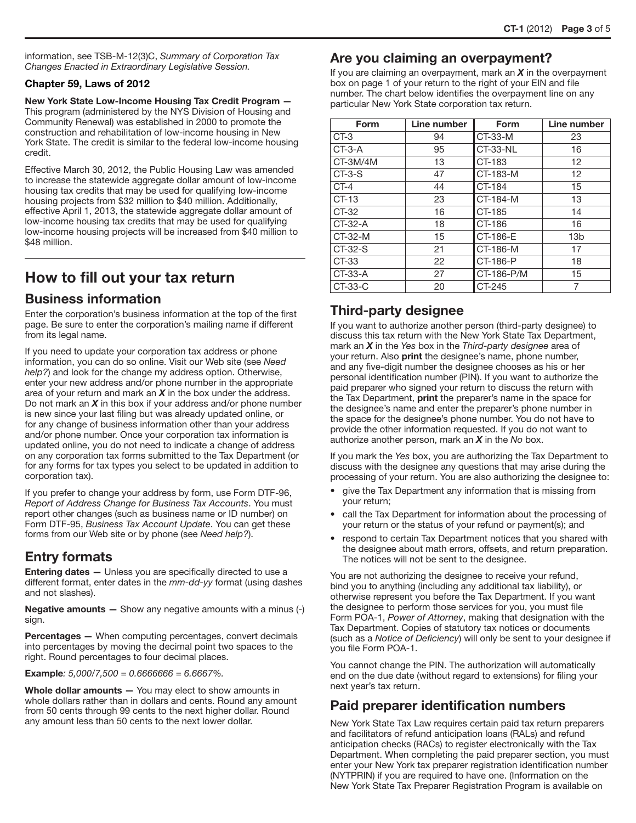information, see TSB-M-12(3)C, *Summary of Corporation Tax Changes Enacted in Extraordinary Legislative Session.*

#### Chapter 59, Laws of 2012

New York State Low-Income Housing Tax Credit Program — This program (administered by the NYS Division of Housing and Community Renewal) was established in 2000 to promote the construction and rehabilitation of low-income housing in New York State. The credit is similar to the federal low-income housing credit.

Effective March 30, 2012, the Public Housing Law was amended to increase the statewide aggregate dollar amount of low-income housing tax credits that may be used for qualifying low-income housing projects from \$32 million to \$40 million. Additionally, effective April 1, 2013, the statewide aggregate dollar amount of low-income housing tax credits that may be used for qualifying low-income housing projects will be increased from \$40 million to \$48 million.

# How to fill out your tax return

## Business information

Enter the corporation's business information at the top of the first page. Be sure to enter the corporation's mailing name if different from its legal name.

If you need to update your corporation tax address or phone information, you can do so online. Visit our Web site (see *Need help?*) and look for the change my address option. Otherwise, enter your new address and/or phone number in the appropriate area of your return and mark an *X* in the box under the address. Do not mark an *X* in this box if your address and/or phone number is new since your last filing but was already updated online, or for any change of business information other than your address and/or phone number. Once your corporation tax information is updated online, you do not need to indicate a change of address on any corporation tax forms submitted to the Tax Department (or for any forms for tax types you select to be updated in addition to corporation tax).

If you prefer to change your address by form, use Form DTF-96, *Report of Address Change for Business Tax Accounts*. You must report other changes (such as business name or ID number) on Form DTF-95, *Business Tax Account Update*. You can get these forms from our Web site or by phone (see *Need help?*).

## Entry formats

**Entering dates - Unless you are specifically directed to use a** different format, enter dates in the *mm-dd-yy* format (using dashes and not slashes).

**Negative amounts —** Show any negative amounts with a minus  $(-)$ sign.

Percentages — When computing percentages, convert decimals into percentages by moving the decimal point two spaces to the right. Round percentages to four decimal places.

Example*: 5,000/7,500 = 0.6666666 = 6.6667%.*

Whole dollar amounts - You may elect to show amounts in whole dollars rather than in dollars and cents. Round any amount from 50 cents through 99 cents to the next higher dollar. Round any amount less than 50 cents to the next lower dollar.

## Are you claiming an overpayment?

If you are claiming an overpayment, mark an *X* in the overpayment box on page 1 of your return to the right of your EIN and file number. The chart below identifies the overpayment line on any particular New York State corporation tax return.

| Form      | Line number | <b>Form</b> | Line number     |
|-----------|-------------|-------------|-----------------|
| CT-3      | 94          | CT-33-M     | 23              |
| $CT-3-A$  | 95          | CT-33-NL    | 16              |
| CT-3M/4M  | 13          | CT-183      | 12              |
| $CT-3-S$  | 47          | CT-183-M    | 12              |
| $CT-4$    | 44          | CT-184      | 15              |
| $CT-13$   | 23          | CT-184-M    | 13              |
| CT-32     | 16          | CT-185      | 14              |
| $CT-32-A$ | 18          | CT-186      | 16              |
| CT-32-M   | 15          | CT-186-E    | 13 <sub>b</sub> |
| CT-32-S   | 21          | CT-186-M    | 17              |
| CT-33     | 22          | CT-186-P    | 18              |
| CT-33-A   | 27          | CT-186-P/M  | 15              |
| CT-33-C   | 20          | CT-245      | 7               |

## Third-party designee

If you want to authorize another person (third-party designee) to discuss this tax return with the New York State Tax Department, mark an *X* in the *Yes* box in the *Third-party designee* area of your return. Also **print** the designee's name, phone number, and any five-digit number the designee chooses as his or her personal identification number (PIN). If you want to authorize the paid preparer who signed your return to discuss the return with the Tax Department, **print** the preparer's name in the space for the designee's name and enter the preparer's phone number in the space for the designee's phone number. You do not have to provide the other information requested. If you do not want to authorize another person, mark an *X* in the *No* box.

If you mark the *Yes* box, you are authorizing the Tax Department to discuss with the designee any questions that may arise during the processing of your return. You are also authorizing the designee to:

- give the Tax Department any information that is missing from your return;
- call the Tax Department for information about the processing of your return or the status of your refund or payment(s); and
- respond to certain Tax Department notices that you shared with the designee about math errors, offsets, and return preparation. The notices will not be sent to the designee.

You are not authorizing the designee to receive your refund, bind you to anything (including any additional tax liability), or otherwise represent you before the Tax Department. If you want the designee to perform those services for you, you must file Form POA-1, *Power of Attorney*, making that designation with the Tax Department. Copies of statutory tax notices or documents (such as a *Notice of Deficiency*) will only be sent to your designee if you file Form POA-1.

You cannot change the PIN. The authorization will automatically end on the due date (without regard to extensions) for filing your next year's tax return.

# Paid preparer identification numbers

New York State Tax Law requires certain paid tax return preparers and facilitators of refund anticipation loans (RALs) and refund anticipation checks (RACs) to register electronically with the Tax Department. When completing the paid preparer section, you must enter your New York tax preparer registration identification number (NYTPRIN) if you are required to have one. (Information on the New York State Tax Preparer Registration Program is available on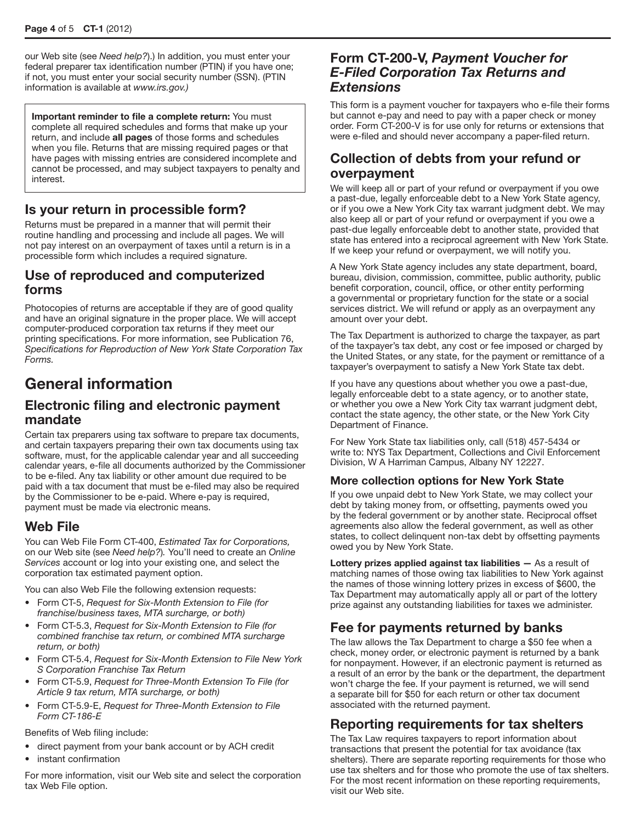our Web site (see *Need help?*).) In addition, you must enter your federal preparer tax identification number (PTIN) if you have one; if not, you must enter your social security number (SSN). (PTIN information is available at *www.irs.gov.)*

Important reminder to file a complete return: You must complete all required schedules and forms that make up your return, and include all pages of those forms and schedules when you file. Returns that are missing required pages or that have pages with missing entries are considered incomplete and cannot be processed, and may subject taxpayers to penalty and interest.

# Is your return in processible form?

Returns must be prepared in a manner that will permit their routine handling and processing and include all pages. We will not pay interest on an overpayment of taxes until a return is in a processible form which includes a required signature.

## Use of reproduced and computerized forms

Photocopies of returns are acceptable if they are of good quality and have an original signature in the proper place. We will accept computer-produced corporation tax returns if they meet our printing specifications. For more information, see Publication 76, *Specifications for Reproduction of New York State Corporation Tax Forms.*

# General information

## Electronic filing and electronic payment mandate

Certain tax preparers using tax software to prepare tax documents, and certain taxpayers preparing their own tax documents using tax software, must, for the applicable calendar year and all succeeding calendar years, e-file all documents authorized by the Commissioner to be e-filed. Any tax liability or other amount due required to be paid with a tax document that must be e-filed may also be required by the Commissioner to be e-paid. Where e-pay is required, payment must be made via electronic means.

# Web File

You can Web File Form CT-400, *Estimated Tax for Corporations,* on our Web site (see *Need help?*)*.* You'll need to create an *Online Services* account or log into your existing one, and select the corporation tax estimated payment option.

You can also Web File the following extension requests:

- • Form CT-5, *Request for Six-Month Extension to File (for franchise/business taxes, MTA surcharge, or both)*
- • Form CT-5.3, *Request for Six-Month Extension to File (for combined franchise tax return, or combined MTA surcharge return, or both)*
- • Form CT-5.4, *Request for Six-Month Extension to File New York S Corporation Franchise Tax Return*
- • Form CT-5.9, *Request for Three-Month Extension To File (for Article 9 tax return, MTA surcharge, or both)*
- • Form CT-5.9-E, *Request for Three-Month Extension to File Form CT-186-E*

Benefits of Web filing include:

- direct payment from your bank account or by ACH credit
- instant confirmation

For more information, visit our Web site and select the corporation tax Web File option.

## Form CT-200-V, *Payment Voucher for E-Filed Corporation Tax Returns and Extensions*

This form is a payment voucher for taxpayers who e-file their forms but cannot e-pay and need to pay with a paper check or money order. Form CT-200-V is for use only for returns or extensions that were e-filed and should never accompany a paper-filed return.

## Collection of debts from your refund or overpayment

We will keep all or part of your refund or overpayment if you owe a past-due, legally enforceable debt to a New York State agency, or if you owe a New York City tax warrant judgment debt. We may also keep all or part of your refund or overpayment if you owe a past-due legally enforceable debt to another state, provided that state has entered into a reciprocal agreement with New York State. If we keep your refund or overpayment, we will notify you.

A New York State agency includes any state department, board, bureau, division, commission, committee, public authority, public benefit corporation, council, office, or other entity performing a governmental or proprietary function for the state or a social services district. We will refund or apply as an overpayment any amount over your debt.

The Tax Department is authorized to charge the taxpayer, as part of the taxpayer's tax debt, any cost or fee imposed or charged by the United States, or any state, for the payment or remittance of a taxpayer's overpayment to satisfy a New York State tax debt.

If you have any questions about whether you owe a past-due, legally enforceable debt to a state agency, or to another state, or whether you owe a New York City tax warrant judgment debt, contact the state agency, the other state, or the New York City Department of Finance.

For New York State tax liabilities only, call (518) 457-5434 or write to: NYS Tax Department, Collections and Civil Enforcement Division, W A Harriman Campus, Albany NY 12227.

### More collection options for New York State

If you owe unpaid debt to New York State, we may collect your debt by taking money from, or offsetting, payments owed you by the federal government or by another state. Reciprocal offset agreements also allow the federal government, as well as other states, to collect delinquent non-tax debt by offsetting payments owed you by New York State.

Lottery prizes applied against tax liabilities  $-$  As a result of matching names of those owing tax liabilities to New York against the names of those winning lottery prizes in excess of \$600, the Tax Department may automatically apply all or part of the lottery prize against any outstanding liabilities for taxes we administer.

# Fee for payments returned by banks

The law allows the Tax Department to charge a \$50 fee when a check, money order, or electronic payment is returned by a bank for nonpayment. However, if an electronic payment is returned as a result of an error by the bank or the department, the department won't charge the fee. If your payment is returned, we will send a separate bill for \$50 for each return or other tax document associated with the returned payment.

# Reporting requirements for tax shelters

The Tax Law requires taxpayers to report information about transactions that present the potential for tax avoidance (tax shelters). There are separate reporting requirements for those who use tax shelters and for those who promote the use of tax shelters. For the most recent information on these reporting requirements, visit our Web site.